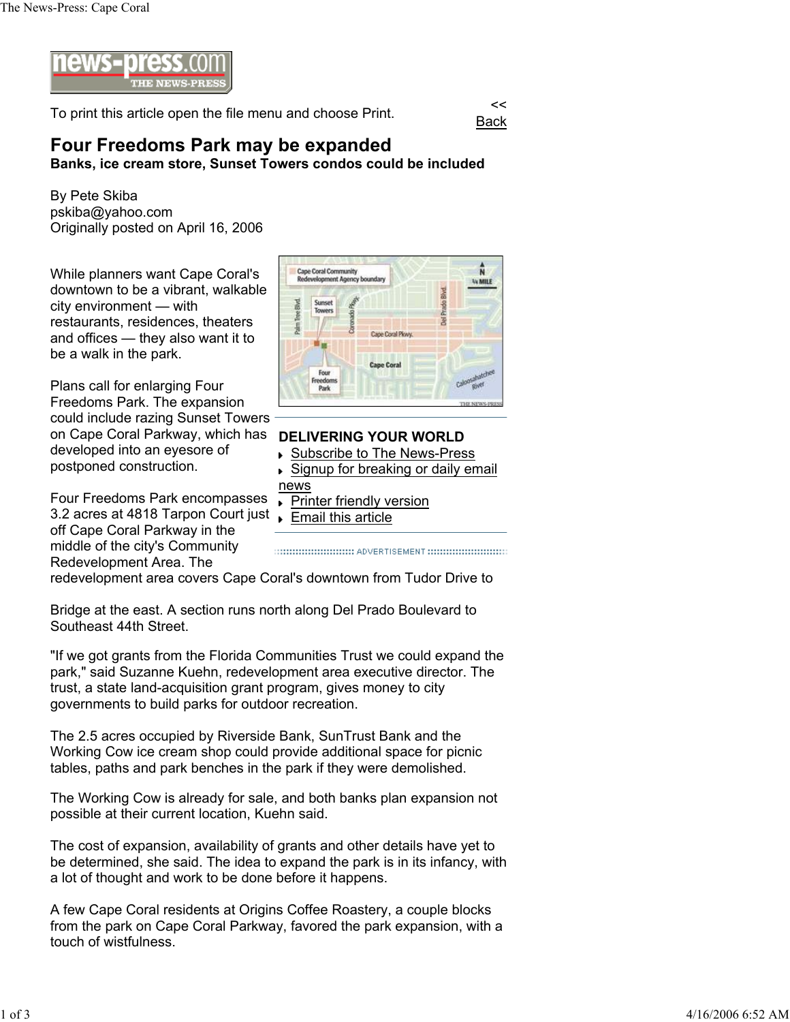

To print this article open the file menu and choose Print.

Back

## **Four Freedoms Park may be expanded**

**Banks, ice cream store, Sunset Towers condos could be included**

By Pete Skiba pskiba@yahoo.com Originally posted on April 16, 2006

While planners want Cape Coral's downtown to be a vibrant, walkable city environment — with restaurants, residences, theaters and offices — they also want it to be a walk in the park.

Plans call for enlarging Four Freedoms Park. The expansion could include razing Sunset Towers on Cape Coral Parkway, which has developed into an eyesore of postponed construction.

3.2 acres at 4818 Tarpon Court just <sub>Ramail</sub> this article Four Freedoms Park encompasses off Cape Coral Parkway in the middle of the city's Community Redevelopment Area. The



## **DELIVERING YOUR WORLD**

- ▶ Subscribe to The News-Press
- ▶ Signup for breaking or daily email news
- ▶ Printer friendly version
- 

redevelopment area covers Cape Coral's downtown from Tudor Drive to

Bridge at the east. A section runs north along Del Prado Boulevard to Southeast 44th Street.

"If we got grants from the Florida Communities Trust we could expand the park," said Suzanne Kuehn, redevelopment area executive director. The trust, a state land-acquisition grant program, gives money to city governments to build parks for outdoor recreation.

The 2.5 acres occupied by Riverside Bank, SunTrust Bank and the Working Cow ice cream shop could provide additional space for picnic tables, paths and park benches in the park if they were demolished.

The Working Cow is already for sale, and both banks plan expansion not possible at their current location, Kuehn said.

The cost of expansion, availability of grants and other details have yet to be determined, she said. The idea to expand the park is in its infancy, with a lot of thought and work to be done before it happens.

A few Cape Coral residents at Origins Coffee Roastery, a couple blocks from the park on Cape Coral Parkway, favored the park expansion, with a touch of wistfulness.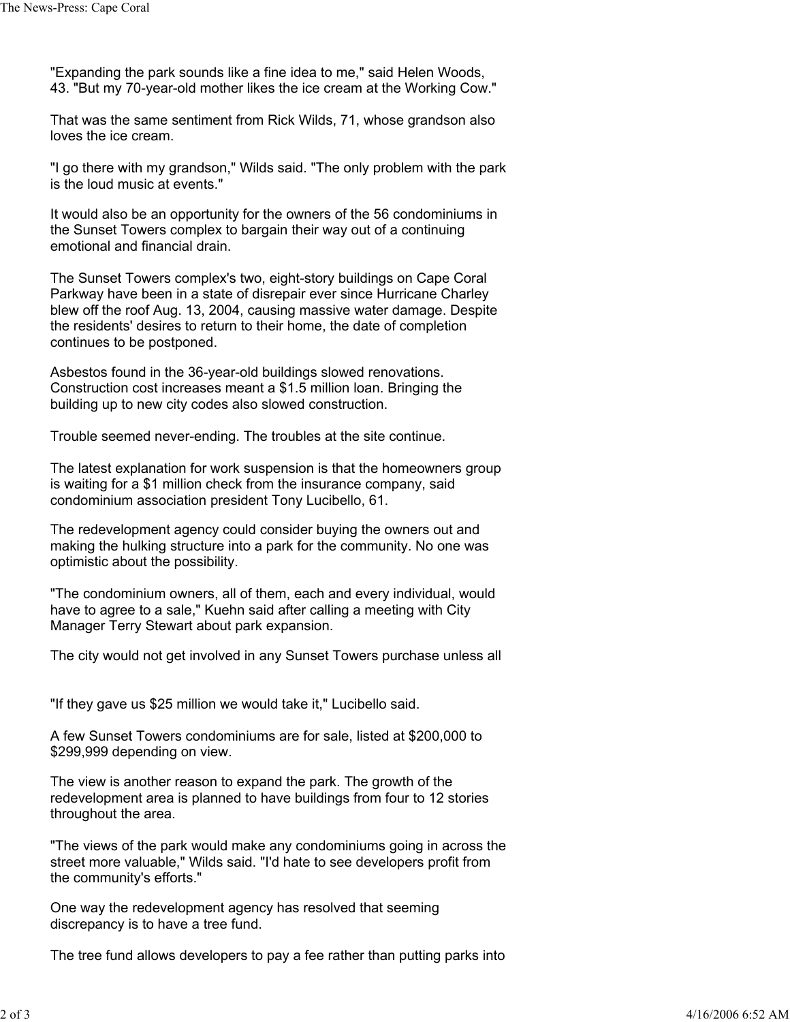"Expanding the park sounds like a fine idea to me," said Helen Woods, 43. "But my 70-year-old mother likes the ice cream at the Working Cow."

That was the same sentiment from Rick Wilds, 71, whose grandson also loves the ice cream.

"I go there with my grandson," Wilds said. "The only problem with the park is the loud music at events."

It would also be an opportunity for the owners of the 56 condominiums in the Sunset Towers complex to bargain their way out of a continuing emotional and financial drain.

The Sunset Towers complex's two, eight-story buildings on Cape Coral Parkway have been in a state of disrepair ever since Hurricane Charley blew off the roof Aug. 13, 2004, causing massive water damage. Despite the residents' desires to return to their home, the date of completion continues to be postponed.

Asbestos found in the 36-year-old buildings slowed renovations. Construction cost increases meant a \$1.5 million loan. Bringing the building up to new city codes also slowed construction.

Trouble seemed never-ending. The troubles at the site continue.

The latest explanation for work suspension is that the homeowners group is waiting for a \$1 million check from the insurance company, said condominium association president Tony Lucibello, 61.

The redevelopment agency could consider buying the owners out and making the hulking structure into a park for the community. No one was optimistic about the possibility.

"The condominium owners, all of them, each and every individual, would have to agree to a sale," Kuehn said after calling a meeting with City Manager Terry Stewart about park expansion.

The city would not get involved in any Sunset Towers purchase unless all

"If they gave us \$25 million we would take it," Lucibello said.

A few Sunset Towers condominiums are for sale, listed at \$200,000 to \$299,999 depending on view.

The view is another reason to expand the park. The growth of the redevelopment area is planned to have buildings from four to 12 stories throughout the area.

"The views of the park would make any condominiums going in across the street more valuable," Wilds said. "I'd hate to see developers profit from the community's efforts."

One way the redevelopment agency has resolved that seeming discrepancy is to have a tree fund.

The tree fund allows developers to pay a fee rather than putting parks into